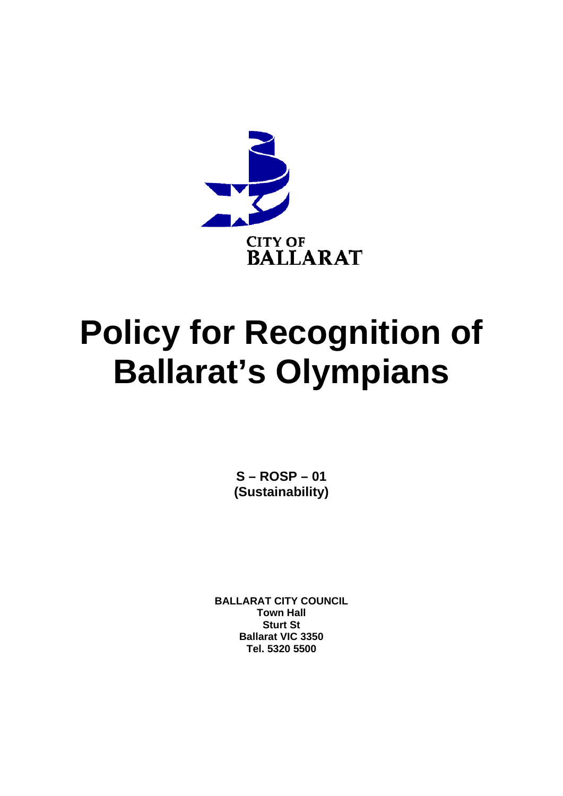

# **Policy for Recognition of Ballarat's Olympians**

 $S - ROSP - 01$ (Sustainability)

**BALLARAT CITY COUNCIL Town Hall Sturt St Ballarat VIC 3350** Tel. 5320 5500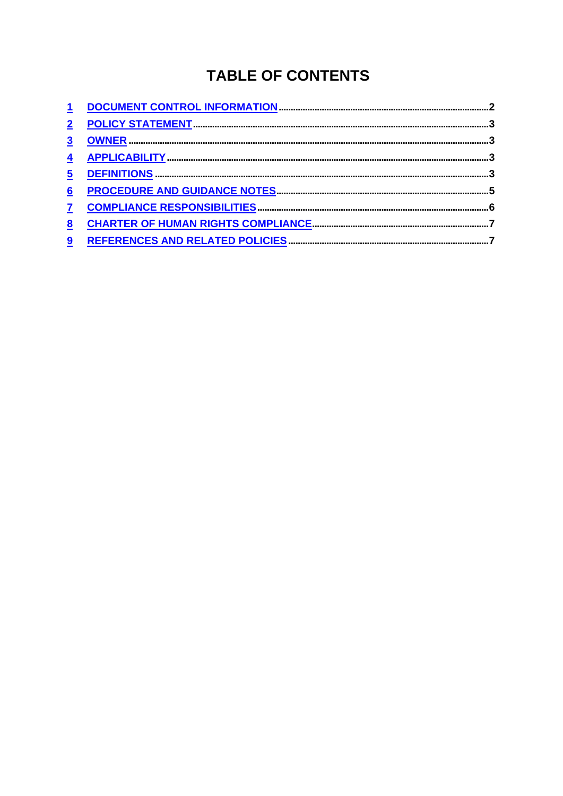# **TABLE OF CONTENTS**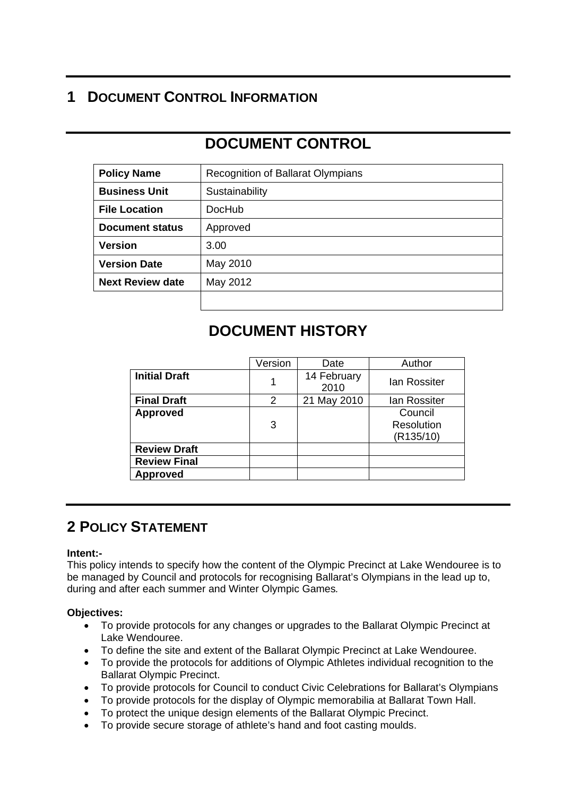# **1 DOCUMENT CONTROL INFORMATION**

# **DOCUMENT CONTROL**

| <b>Policy Name</b>      | Recognition of Ballarat Olympians |  |  |
|-------------------------|-----------------------------------|--|--|
| <b>Business Unit</b>    | Sustainability                    |  |  |
| <b>File Location</b>    | DocHub                            |  |  |
| <b>Document status</b>  | Approved                          |  |  |
| <b>Version</b>          | 3.00                              |  |  |
| <b>Version Date</b>     | May 2010                          |  |  |
| <b>Next Review date</b> | May 2012                          |  |  |
|                         |                                   |  |  |

## **DOCUMENT HISTORY**

|                      | Version | Date                | Author                             |
|----------------------|---------|---------------------|------------------------------------|
| <b>Initial Draft</b> | 1       | 14 February<br>2010 | <b>lan Rossiter</b>                |
| <b>Final Draft</b>   | 2       | 21 May 2010         | lan Rossiter                       |
| <b>Approved</b>      | 3       |                     | Council<br>Resolution<br>(R135/10) |
| <b>Review Draft</b>  |         |                     |                                    |
| <b>Review Final</b>  |         |                     |                                    |
| <b>Approved</b>      |         |                     |                                    |

# **2 POLICY STATEMENT**

#### **Intent:-**

This policy intends to specify how the content of the Olympic Precinct at Lake Wendouree is to be managed by Council and protocols for recognising Ballarat's Olympians in the lead up to, during and after each summer and Winter Olympic Games*.*

#### **Objectives:**

- To provide protocols for any changes or upgrades to the Ballarat Olympic Precinct at Lake Wendouree.
- To define the site and extent of the Ballarat Olympic Precinct at Lake Wendouree.
- To provide the protocols for additions of Olympic Athletes individual recognition to the Ballarat Olympic Precinct.
- To provide protocols for Council to conduct Civic Celebrations for Ballarat's Olympians
- To provide protocols for the display of Olympic memorabilia at Ballarat Town Hall.
- To protect the unique design elements of the Ballarat Olympic Precinct.
- To provide secure storage of athlete's hand and foot casting moulds.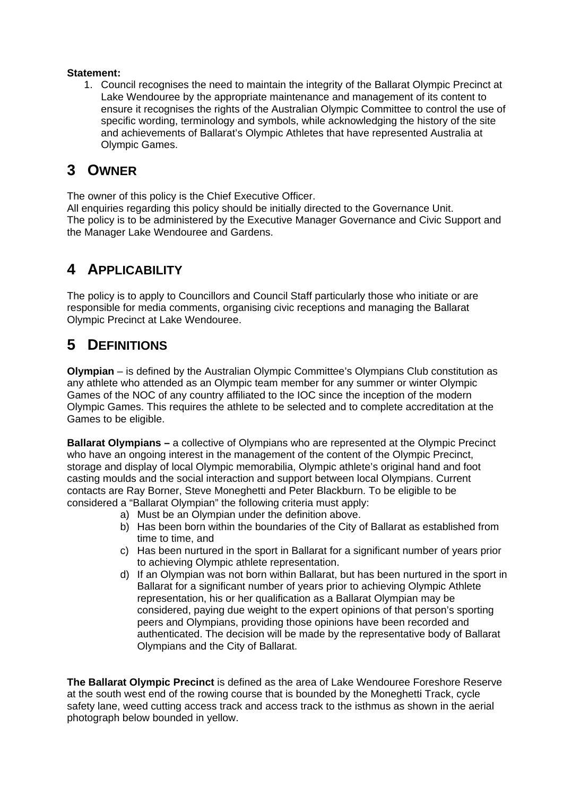#### **Statement:**

1. Council recognises the need to maintain the integrity of the Ballarat Olympic Precinct at Lake Wendouree by the appropriate maintenance and management of its content to ensure it recognises the rights of the Australian Olympic Committee to control the use of specific wording, terminology and symbols, while acknowledging the history of the site and achievements of Ballarat's Olympic Athletes that have represented Australia at Olympic Games.

## **3 OWNER**

The owner of this policy is the Chief Executive Officer.

All enquiries regarding this policy should be initially directed to the Governance Unit. The policy is to be administered by the Executive Manager Governance and Civic Support and the Manager Lake Wendouree and Gardens.

## **4 APPLICABILITY**

The policy is to apply to Councillors and Council Staff particularly those who initiate or are responsible for media comments, organising civic receptions and managing the Ballarat Olympic Precinct at Lake Wendouree.

# **5 DEFINITIONS**

**Olympian** – is defined by the Australian Olympic Committee's Olympians Club constitution as any athlete who attended as an Olympic team member for any summer or winter Olympic Games of the NOC of any country affiliated to the IOC since the inception of the modern Olympic Games. This requires the athlete to be selected and to complete accreditation at the Games to be eligible.

**Ballarat Olympians –** a collective of Olympians who are represented at the Olympic Precinct who have an ongoing interest in the management of the content of the Olympic Precinct, storage and display of local Olympic memorabilia, Olympic athlete's original hand and foot casting moulds and the social interaction and support between local Olympians. Current contacts are Ray Borner, Steve Moneghetti and Peter Blackburn. To be eligible to be considered a "Ballarat Olympian" the following criteria must apply:

- a) Must be an Olympian under the definition above.
- b) Has been born within the boundaries of the City of Ballarat as established from time to time, and
- c) Has been nurtured in the sport in Ballarat for a significant number of years prior to achieving Olympic athlete representation.
- d) If an Olympian was not born within Ballarat, but has been nurtured in the sport in Ballarat for a significant number of years prior to achieving Olympic Athlete representation, his or her qualification as a Ballarat Olympian may be considered, paying due weight to the expert opinions of that person's sporting peers and Olympians, providing those opinions have been recorded and authenticated. The decision will be made by the representative body of Ballarat Olympians and the City of Ballarat.

**The Ballarat Olympic Precinct** is defined as the area of Lake Wendouree Foreshore Reserve at the south west end of the rowing course that is bounded by the Moneghetti Track, cycle safety lane, weed cutting access track and access track to the isthmus as shown in the aerial photograph below bounded in yellow.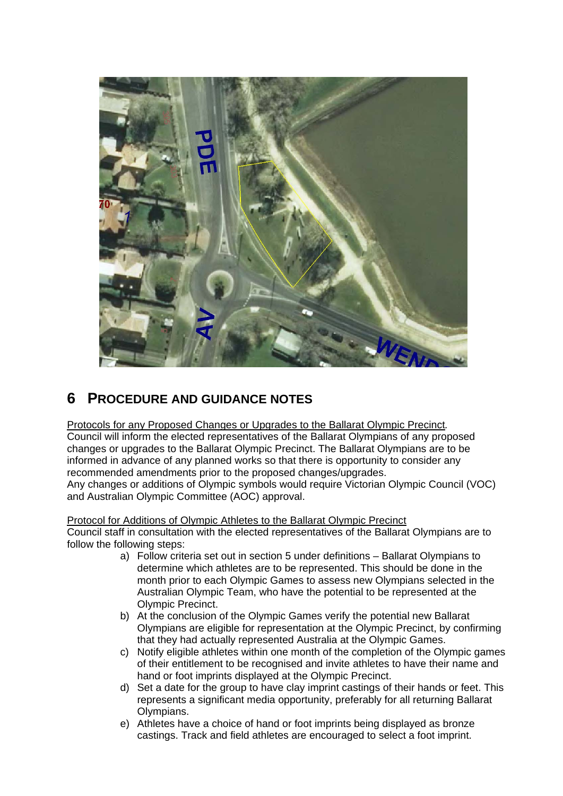

# **6 PROCEDURE AND GUIDANCE NOTES**

Protocols for any Proposed Changes or Upgrades to the Ballarat Olympic Precinct*.*  Council will inform the elected representatives of the Ballarat Olympians of any proposed changes or upgrades to the Ballarat Olympic Precinct. The Ballarat Olympians are to be informed in advance of any planned works so that there is opportunity to consider any recommended amendments prior to the proposed changes/upgrades.

Any changes or additions of Olympic symbols would require Victorian Olympic Council (VOC) and Australian Olympic Committee (AOC) approval.

Protocol for Additions of Olympic Athletes to the Ballarat Olympic Precinct Council staff in consultation with the elected representatives of the Ballarat Olympians are to follow the following steps:

- a) Follow criteria set out in section 5 under definitions Ballarat Olympians to determine which athletes are to be represented. This should be done in the month prior to each Olympic Games to assess new Olympians selected in the Australian Olympic Team, who have the potential to be represented at the Olympic Precinct.
- b) At the conclusion of the Olympic Games verify the potential new Ballarat Olympians are eligible for representation at the Olympic Precinct, by confirming that they had actually represented Australia at the Olympic Games.
- c) Notify eligible athletes within one month of the completion of the Olympic games of their entitlement to be recognised and invite athletes to have their name and hand or foot imprints displayed at the Olympic Precinct.
- d) Set a date for the group to have clay imprint castings of their hands or feet. This represents a significant media opportunity, preferably for all returning Ballarat Olympians.
- e) Athletes have a choice of hand or foot imprints being displayed as bronze castings. Track and field athletes are encouraged to select a foot imprint.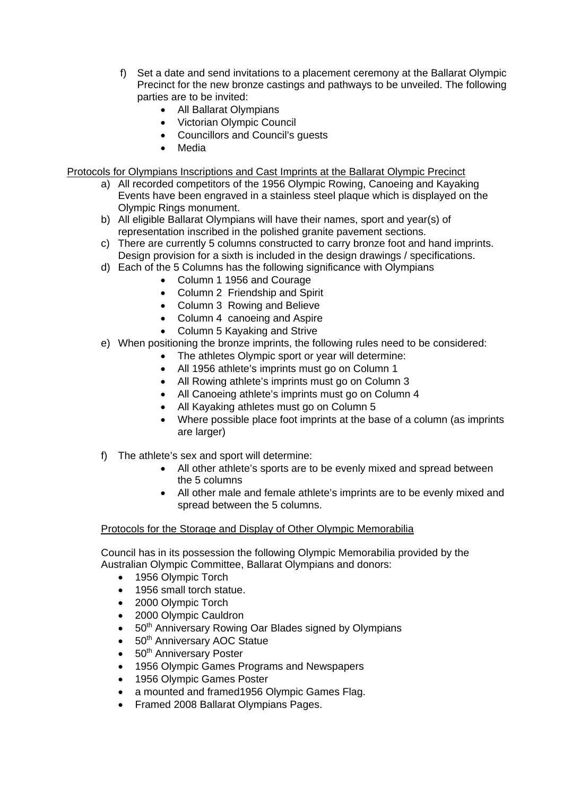- f) Set a date and send invitations to a placement ceremony at the Ballarat Olympic Precinct for the new bronze castings and pathways to be unveiled. The following parties are to be invited:
	- All Ballarat Olympians
	- Victorian Olympic Council
	- Councillors and Council's guests
	- **Media**

Protocols for Olympians Inscriptions and Cast Imprints at the Ballarat Olympic Precinct

- a) All recorded competitors of the 1956 Olympic Rowing, Canoeing and Kayaking Events have been engraved in a stainless steel plaque which is displayed on the Olympic Rings monument.
- b) All eligible Ballarat Olympians will have their names, sport and year(s) of representation inscribed in the polished granite pavement sections.
- c) There are currently 5 columns constructed to carry bronze foot and hand imprints. Design provision for a sixth is included in the design drawings / specifications.
- d) Each of the 5 Columns has the following significance with Olympians
	- Column 1 1956 and Courage
	- Column 2 Friendship and Spirit
	- Column 3 Rowing and Believe
	- Column 4 canoeing and Aspire
	- Column 5 Kayaking and Strive
- e) When positioning the bronze imprints, the following rules need to be considered:
	- The athletes Olympic sport or year will determine:
	- All 1956 athlete's imprints must go on Column 1
	- All Rowing athlete's imprints must go on Column 3
	- All Canoeing athlete's imprints must go on Column 4
	- All Kayaking athletes must go on Column 5
	- Where possible place foot imprints at the base of a column (as imprints are larger)
- f) The athlete's sex and sport will determine:
	- All other athlete's sports are to be evenly mixed and spread between the 5 columns
	- All other male and female athlete's imprints are to be evenly mixed and spread between the 5 columns.

#### Protocols for the Storage and Display of Other Olympic Memorabilia

Council has in its possession the following Olympic Memorabilia provided by the Australian Olympic Committee, Ballarat Olympians and donors:

- 1956 Olympic Torch
- 1956 small torch statue.
- 2000 Olympic Torch
- 2000 Olympic Cauldron
- 50<sup>th</sup> Anniversary Rowing Oar Blades signed by Olympians
- 50<sup>th</sup> Anniversary AOC Statue
- $\bullet$  50<sup>th</sup> Anniversary Poster
- 1956 Olympic Games Programs and Newspapers
- 1956 Olympic Games Poster
- a mounted and framed1956 Olympic Games Flag.
- Framed 2008 Ballarat Olympians Pages.